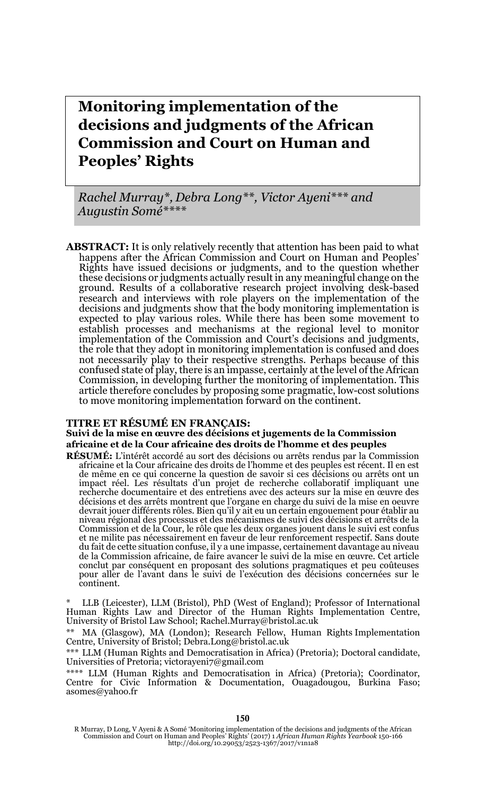# **Monitoring implementation of the decisions and judgments of the African Commission and Court on Human and Peoples' Rights**

*Rachel Murray\*, Debra Long\*\*, Victor Ayeni\*\*\* and Augustin Somé\*\*\*\**

**ABSTRACT:** It is only relatively recently that attention has been paid to what happens after the African Commission and Court on Human and Peoples' Rights have issued decisions or judgments, and to the question whether these decisions or judgments actually result in any meaningful change on the ground. Results of a collaborative research project involving desk-based research and interviews with role players on the implementation of the decisions and judgments show that the body monitoring implementation is expected to play various roles. While there has been some movement to establish processes and mechanisms at the regional level to monitor implementation of the Commission and Court's decisions and judgments, the role that they adopt in monitoring implementation is confused and does not necessarily play to their respective strengths. Perhaps because of this confused state of play, there is an impasse, certainly at the level of the African Commission, in developing further the monitoring of implementation. This article therefore concludes by proposing some pragmatic, low-cost solutions to move monitoring implementation forward on the continent.

#### **TITRE ET RÉSUMÉ EN FRANÇAIS:**

**Suivi de la mise en œuvre des décisions et jugements de la Commission africaine et de la Cour africaine des droits de l'homme et des peuples**

**RÉSUMÉ:** L'intérêt accordé au sort des décisions ou arrêts rendus par la Commission africaine et la Cour africaine des droits de l'homme et des peuples est récent. Il en est de même en ce qui concerne la question de savoir si ces décisions ou arrêts ont un impact réel. Les résultats d'un projet de recherche collaboratif impliquant une recherche documentaire et des entretiens avec des acteurs sur la mise en œuvre des décisions et des arrêts montrent que l'organe en charge du suivi de la mise en oeuvre devrait jouer différents rôles. Bien qu'il y ait eu un certain engouement pour établir au niveau régional des processus et des mécanismes de suivi des décisions et arrêts de la Commission et de la Cour, le rôle que les deux organes jouent dans le suivi est confus et ne milite pas nécessairement en faveur de leur renforcement respectif. Sans doute du fait de cette situation confuse, il y a une impasse, certainement davantage au niveau de la Commission africaine, de faire avancer le suivi de la mise en œuvre. Cet article conclut par conséquent en proposant des solutions pragmatiques et peu coûteuses pour aller de l'avant dans le suivi de l'exécution des décisions concernées sur le continent.

LLB (Leicester), LLM (Bristol), PhD (West of England); Professor of International Human Rights Law and Director of the Human Rights Implementation Centre, University of Bristol Law School; Rachel.Murray@bristol.ac.uk

\*\* MA (Glasgow), MA (London); Research Fellow, Human Rights Implementation Centre, University of Bristol; Debra.Long@bristol.ac.uk

\*\*\* LLM (Human Rights and Democratisation in Africa) (Pretoria); Doctoral candidate, Universities of Pretoria; victorayeni7@gmail.com

\*\*\*\* LLM (Human Rights and Democratisation in Africa) (Pretoria); Coordinator, Centre for Civic Information & Documentation, Ouagadougou, Burkina Faso; asomes@yahoo.fr

R Murray, D Long, V Ayeni & A Somé 'Monitoring implementation of the decisions and judgments of the African<br>Commission and Court on Human and Peoples' Rights' (2017) 1 African Human Rights Yearbook 150-166<br>http://doi.org/1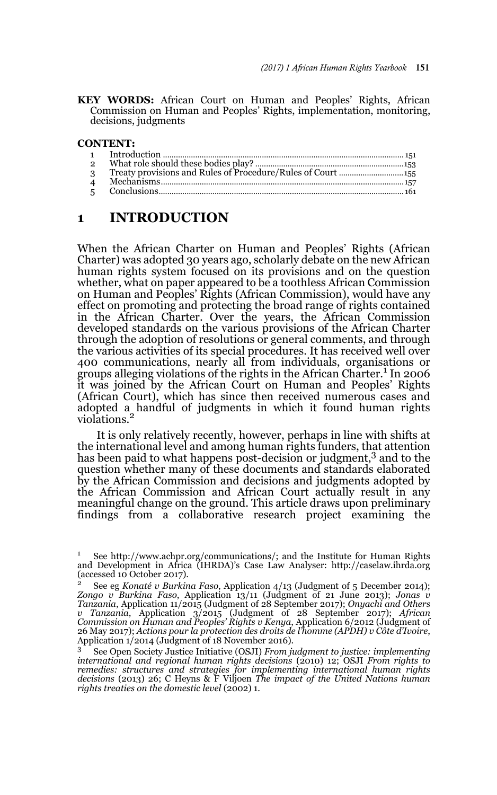**KEY WORDS:** African Court on Human and Peoples' Rights, African Commission on Human and Peoples' Rights, implementation, monitoring, decisions, judgments

#### **CONTENT:**

| $\overline{2}$ |  |
|----------------|--|
| $\mathcal{R}$  |  |
|                |  |
|                |  |

### **1 INTRODUCTION**

When the African Charter on Human and Peoples' Rights (African Charter) was adopted 30 years ago, scholarly debate on the new African human rights system focused on its provisions and on the question whether, what on paper appeared to be a toothless African Commission on Human and Peoples' Rights (African Commission), would have any effect on promoting and protecting the broad range of rights contained in the African Charter. Over the years, the African Commission developed standards on the various provisions of the African Charter through the adoption of resolutions or general comments, and through the various activities of its special procedures. It has received well over 400 communications, nearly all from individuals, organisations or groups alleging violations of the rights in the African Charter.<sup>1</sup> In 2006 it was joined by the African Court on Human and Peoples' Rights (African Court), which has since then received numerous cases and adopted a handful of judgments in which it found human rights violations.<sup>2</sup>

It is only relatively recently, however, perhaps in line with shifts at the international level and among human rights funders, that attention has been paid to what happens post-decision or judgment,<sup>3</sup> and to the question whether many of these documents and standards elaborated by the African Commission and decisions and judgments adopted by the African Commission and African Court actually result in any meaningful change on the ground. This article draws upon preliminary findings from a collaborative research project examining the

<sup>&</sup>lt;sup>1</sup> See http://www.achpr.org/communications/; and the Institute for Human Rights and Development in Africa (IHRDA)'s Case Law Analyser: http://caselaw.ihrda.org (accessed 10 October 2017).

<sup>2</sup> See eg *Konaté v Burkina Faso*, Application 4/13 (Judgment of 5 December 2014); *Zongo v Burkina Faso*, Application 13/11 (Judgment of 21 June 2013); *Jonas v Tanzania*, Application 11/2015 (Judgment of 28 September 2017); *Onyachi and Others* v Tanzania, Application 3/2015 (Judgment of 28 September 2017); African<br>Commission on Human and Peoples' Rights v Kenya, Application 6/2012 (Judgment of<br>26 May 2017); Actions pour la protection des droits de l'homme (APDH) Application 1/2014 (Judgment of 18 November 2016).

<sup>3</sup> See Open Society Justice Initiative (OSJI) *From judgment to justice: implementing international and regional human rights decisions* (2010) 12; OSJI *From rights to remedies: structures and strategies for implementing international human rights decisions* (2013) 26; C Heyns & F Viljoen *The impact of the United Nations human rights treaties on the domestic level* (2002) 1.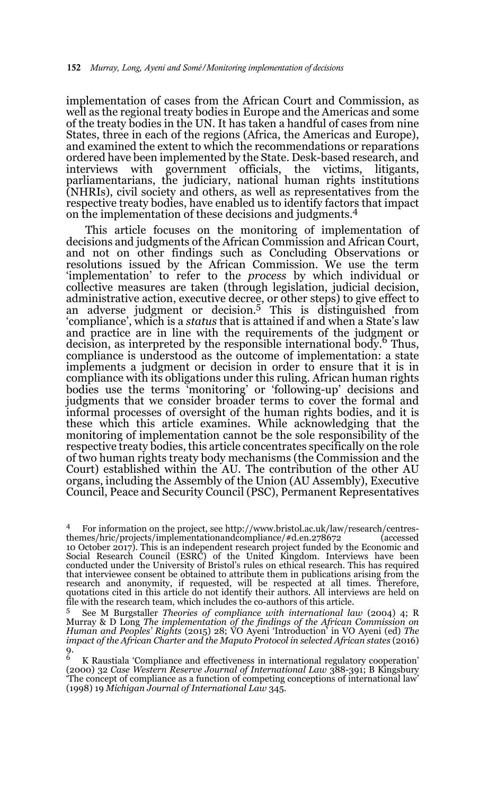implementation of cases from the African Court and Commission, as well as the regional treaty bodies in Europe and the Americas and some of the treaty bodies in the UN. It has taken a handful of cases from nine States, three in each of the regions (Africa, the Americas and Europe), and examined the extent to which the recommendations or reparations ordered have been implemented by the State. Desk-based research, and interviews with government officials, the victims, litigants, parliamentarians, the judiciary, national human rights institutions (NHRIs), civil society and others, as well as representatives from the respective treaty bodies, have enabled us to identify factors that impact on the implementation of these decisions and judgments.4

This article focuses on the monitoring of implementation of decisions and judgments of the African Commission and African Court, and not on other findings such as Concluding Observations or resolutions issued by the African Commission. We use the term 'implementation' to refer to the *process* by which individual or collective measures are taken (through legislation, judicial decision, administrative action, executive decree, or other steps) to give effect to and adverse judgment or decision.<sup>5</sup> This is distinguished from 'compliance', which is a *status* that is attained if and when a State's law and practice are in line with the requirements of the judgment or decision, as interpreted by the responsible international body.<sup>6</sup> Thus, compliance is understood as the outcome of implementation: a state implements a judgment or decision in order to ensure that it is in compliance with its obligations under this ruling. African human rights bodies use the terms 'monitoring' or 'following-up' decisions and judgments that we consider broader terms to cover the formal and informal processes of oversight of the human rights bodies, and it is these which this article examines. While acknowledging that the monitoring of implementation cannot be the sole responsibility of the respective treaty bodies, this article concentrates specifically on the role of two human rights treaty body mechanisms (the Commission and the Court) established within the AU. The contribution of the other AU organs, including the Assembly of the Union (AU Assembly), Executive Council, Peace and Security Council (PSC), Permanent Representatives

For information on the project, see http://www.bristol.ac.uk/law/research/centres-<br>mes/hric/projects/implementationandcompliance/#d.en.278672 (accessed themes/hric/projects/implementationandcompliance/#d.en.278672

<sup>10</sup> October 2017). This is an independent research project funded by the Economic and Social Research Council (ESRC) of the United Kingdom. Interviews have been conducted under the University of Bristol's rules on ethical research. This has required that interviewee consent be obtained to attribute them in publications arising from the research and anonymity, if requested, will be respected at all times. Therefore, quotations cited in this article do not identify their authors. All interviews are held on file with the research team, which includes the co-authors of this article.

<sup>5</sup> See M Burgstaller *Theories of compliance with international law* (2004) 4; R Murray & D Long *The implementation of the findings of the African Commission on Human and Peoples' Rights* (2015) 28; VO Ayeni 'Introduction' in VO Ayeni (ed) *The* impact of the African Charter and the Maputo Protocol in selected African states (2016)<br>9.

<sup>6</sup> K Raustiala 'Compliance and effectiveness in international regulatory cooperation' (2000) 32 *Case Western Reserve Journal of International Law* 388-391; B Kingsbury 'The concept of compliance as a function of competing conceptions of international law' (1998) 19 *Michigan Journal of International Law* 345.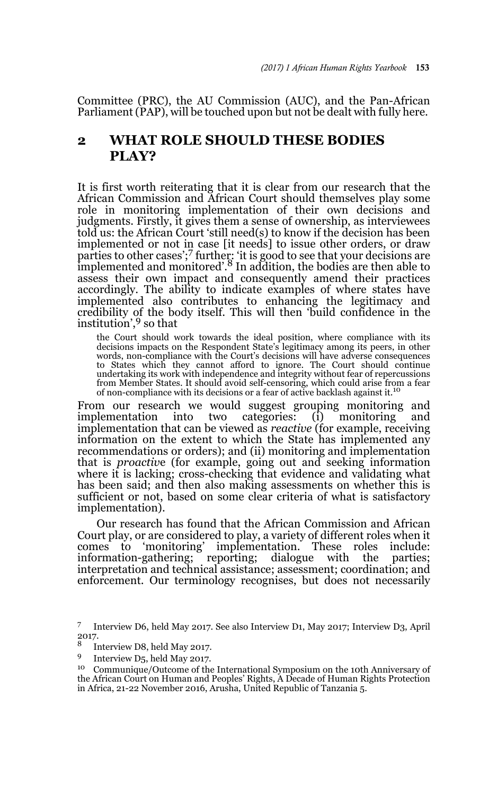Committee (PRC), the AU Commission (AUC), and the Pan-African Parliament (PAP), will be touched upon but not be dealt with fully here.

# **2 WHAT ROLE SHOULD THESE BODIES PLAY?**

It is first worth reiterating that it is clear from our research that the African Commission and African Court should themselves play some role in monitoring implementation of their own decisions and judgments. Firstly, it gives them a sense of ownership, as interviewees told us: the African Court 'still need(s) to know if the decision has been implemented or not in case [it needs] to issue other orders, or draw parties to other cases';<sup>7</sup> further: 'it is good to see that your decisions are implemented and monitored'. $8 \text{ In addition, the bodies are then able to$ assess their own impact and consequently amend their practices accordingly. The ability to indicate examples of where states have implemented also contributes to enhancing the legitimacy and credibility of the body itself. This will then 'build confidence in the institution',9 so that

the Court should work towards the ideal position, where compliance with its decisions impacts on the Respondent State's legitimacy among its peers, in other words, non-compliance with the Court's decisions will have adverse consequences to States which they cannot afford to ignore. The Court should continue undertaking its work with independence and integrity without fear of repercussions from Member States. It should avoid self-censoring, which could arise from a fear of non-compliance with its decisions or a fear of active backlash against it.

From our research we would suggest grouping monitoring and implementation into two categories: (i) monitoring and implementation into two categories: (i) monitoring and implementation that can be viewed as *reactive* (for example, receiving information on the extent to which the State has implemented any recommendations or orders); and (ii) monitoring and implementation that is *proactiv*e (for example, going out and seeking information where it is lacking; cross-checking that evidence and validating what has been said; and then also making assessments on whether this is sufficient or not, based on some clear criteria of what is satisfactory implementation).

Our research has found that the African Commission and African Court play, or are considered to play, a variety of different roles when it comes to 'monitoring' implementation. These roles include: information-gathering; reporting; dialogue with the parties; interpretation and technical assistance; assessment; coordination; and enforcement. Our terminology recognises, but does not necessarily

<sup>7</sup> Interview D6, held May 2017. See also Interview D1, May 2017; Interview D3, April  $^{2017}_{8}$ .

<sup>&</sup>lt;sup>8</sup> Interview D8, held May 2017.

<sup>9</sup> Interview D5, held May 2017.

<sup>10</sup> Communique/Outcome of the International Symposium on the 10th Anniversary of the African Court on Human and Peoples' Rights, A Decade of Human Rights Protection in Africa, 21-22 November 2016, Arusha, United Republic of Tanzania 5.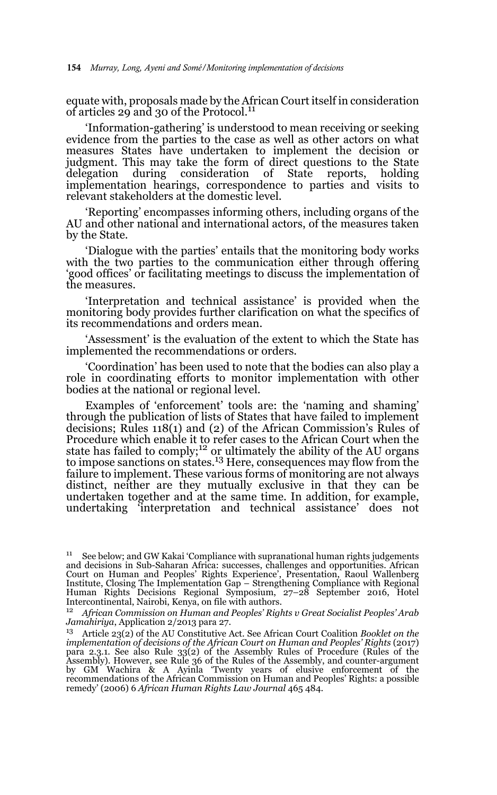equate with, proposals made by the African Court itself in consideration of articles 29 and 30 of the Protocol.<sup>11</sup>

'Information-gathering' is understood to mean receiving or seeking evidence from the parties to the case as well as other actors on what measures States have undertaken to implement the decision or judgment. This may take the form of direct questions to the State delegation during consideration of State reports, holding implementation hearings, correspondence to parties and visits to relevant stakeholders at the domestic level.

'Reporting' encompasses informing others, including organs of the AU and other national and international actors, of the measures taken by the State.

'Dialogue with the parties' entails that the monitoring body works with the two parties to the communication either through offering 'good offices' or facilitating meetings to discuss the implementation of the measures.

'Interpretation and technical assistance' is provided when the monitoring body provides further clarification on what the specifics of its recommendations and orders mean.

'Assessment' is the evaluation of the extent to which the State has implemented the recommendations or orders.

'Coordination' has been used to note that the bodies can also play a role in coordinating efforts to monitor implementation with other bodies at the national or regional level.

Examples of 'enforcement' tools are: the 'naming and shaming' through the publication of lists of States that have failed to implement decisions; Rules 118(1) and (2) of the African Commission's Rules of Procedure which enable it to refer cases to the African Court when the<br>state has failed to comply;<sup>12</sup> or ultimately the ability of the AU organs to impose sanctions on states.<sup>13</sup> Here, consequences may flow from the failure to implement. These various forms of monitoring are not always distinct, neither are they mutually exclusive in that they can be undertaken together and at the same time. In addition, for example, undertaking 'interpretation and technical assistance' does not

<sup>&</sup>lt;sup>11</sup> See below; and GW Kakai 'Compliance with supranational human rights judgements and decisions in Sub-Saharan Africa: successes, challenges and opportunities. African Court on Human and Peoples' Rights Experience', Presentation, Raoul Wallenberg Institute, Closing The Implementation Gap – Strengthening Compliance with Regional Human Rights Decisions Regional Symposium, 27–28 September 2016, Hotel Intercontinental, Nairobi, Kenya, on file with authors.

<sup>12</sup> *African Commission on Human and Peoples' Rights v Great Socialist Peoples' Arab Jamahiriya*, Application 2/2013 para 27.

<sup>13</sup> Article 23(2) of the AU Constitutive Act. See African Court Coalition *Booklet on the implementation of decisions of the African Court on Human and Peoples' Rights* (2017) para 2.3.1. See also Rule 33(2) of the Assembly Rules of Procedure (Rules of the Assembly). However, see Rule 36 of the Rules of the Assembly, and counter-argument by GM Wachira & A Ayinla 'Twenty years of elusive enforcement of the recommendations of the African Commission on Human and Peoples' Rights: a possible remedy' (2006) 6 *African Human Rights Law Journal* 465 484.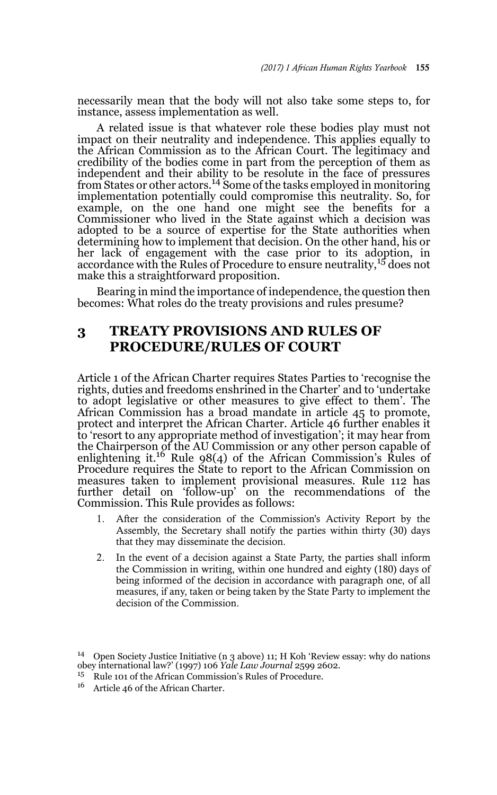necessarily mean that the body will not also take some steps to, for instance, assess implementation as well.

A related issue is that whatever role these bodies play must not impact on their neutrality and independence. This applies equally to the African Commission as to the African Court. The legitimacy and credibility of the bodies come in part from the perception of them as independent and their ability to be resolute in the face of pressures<br>from States or other actors.<sup>14</sup> Some of the tasks employed in monitoring implementation potentially could compromise this neutrality. So, for example, on the one hand one might see the benefits for a Commissioner who lived in the State against which a decision was adopted to be a source of expertise for the State authorities when determining how to implement that decision. On the other hand, his or her lack of engagement with the case prior to its adoption, in accordance with the Rules of Procedure to ensure neutrality,<sup>15</sup> does not make this a straightforward proposition.

Bearing in mind the importance of independence, the question then becomes: What roles do the treaty provisions and rules presume?

# **3 TREATY PROVISIONS AND RULES OF PROCEDURE/RULES OF COURT**

Article 1 of the African Charter requires States Parties to 'recognise the rights, duties and freedoms enshrined in the Charter' and to 'undertake to adopt legislative or other measures to give effect to them'. The African Commission has a broad mandate in article 45 to promote, protect and interpret the African Charter. Article 46 further enables it to 'resort to any appropriate method of investigation'; it may hear from the Chairperson of the AU Commission or any other person capable of enlightening it.<sup>16</sup> Rule 98(4) of the African Commission's Rules of Procedure requires the State to report to the African Commission on measures taken to implement provisional measures. Rule 112 has further detail on 'follow-up' on the recommendations of the Commission. This Rule provides as follows:

- 1. After the consideration of the Commission's Activity Report by the Assembly, the Secretary shall notify the parties within thirty (30) days that they may disseminate the decision.
- 2. In the event of a decision against a State Party, the parties shall inform the Commission in writing, within one hundred and eighty (180) days of being informed of the decision in accordance with paragraph one, of all measures, if any, taken or being taken by the State Party to implement the decision of the Commission.

<sup>&</sup>lt;sup>14</sup> Open Society Justice Initiative (n 3 above) 11; H Koh 'Review essay: why do nations obey international law?' (1997) 106 *Yale Law Journal* 2599 2602.

<sup>15</sup> Rule 101 of the African Commission's Rules of Procedure.

<sup>16</sup> Article 46 of the African Charter.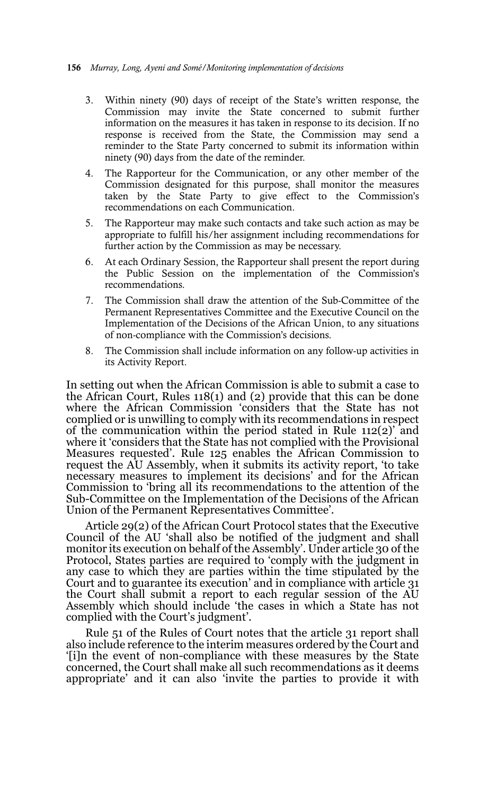- 3. Within ninety (90) days of receipt of the State's written response, the Commission may invite the State concerned to submit further information on the measures it has taken in response to its decision. If no response is received from the State, the Commission may send a reminder to the State Party concerned to submit its information within ninety (90) days from the date of the reminder.
- 4. The Rapporteur for the Communication, or any other member of the Commission designated for this purpose, shall monitor the measures taken by the State Party to give effect to the Commission's recommendations on each Communication.
- 5. The Rapporteur may make such contacts and take such action as may be appropriate to fulfill his/her assignment including recommendations for further action by the Commission as may be necessary.
- 6. At each Ordinary Session, the Rapporteur shall present the report during the Public Session on the implementation of the Commission's recommendations.
- 7. The Commission shall draw the attention of the Sub-Committee of the Permanent Representatives Committee and the Executive Council on the Implementation of the Decisions of the African Union, to any situations of non-compliance with the Commission's decisions.
- 8. The Commission shall include information on any follow-up activities in its Activity Report.

In setting out when the African Commission is able to submit a case to the African Court, Rules 118(1) and (2) provide that this can be done where the African Commission 'considers that the State has not complied or is unwilling to comply with its recommendations in respect of the communication within the period stated in Rule 112(2)' and where it 'considers that the State has not complied with the Provisional Measures requested'. Rule 125 enables the African Commission to request the AU Assembly, when it submits its activity report, 'to take necessary measures to implement its decisions' and for the African Commission to 'bring all its recommendations to the attention of the Sub-Committee on the Implementation of the Decisions of the African Union of the Permanent Representatives Committee'.

Article 29(2) of the African Court Protocol states that the Executive Council of the AU 'shall also be notified of the judgment and shall monitor its execution on behalf of the Assembly'. Under article 30 of the Protocol, States parties are required to 'comply with the judgment in any case to which they are parties within the time stipulated by the Court and to guarantee its execution' and in compliance with article 31 the Court shall submit a report to each regular session of the AU Assembly which should include 'the cases in which a State has not complied with the Court's judgment'.

Rule 51 of the Rules of Court notes that the article 31 report shall also include reference to the interim measures ordered by the Court and '[i]n the event of non-compliance with these measures by the State concerned, the Court shall make all such recommendations as it deems appropriate' and it can also 'invite the parties to provide it with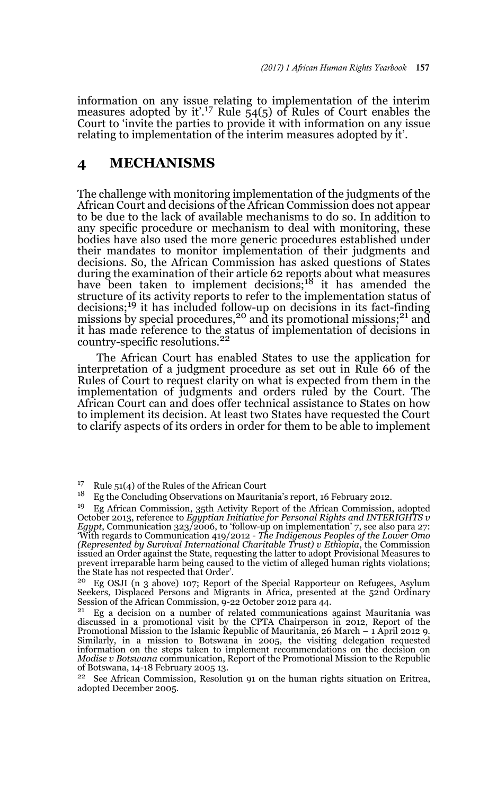information on any issue relating to implementation of the interim measures adopted by it'.17 Rule 54(5) of Rules of Court enables the Court to 'invite the parties to provide it with information on any issue relating to implementation of the interim measures adopted by it'.

### **4 MECHANISMS**

The challenge with monitoring implementation of the judgments of the African Court and decisions of the African Commission does not appear to be due to the lack of available mechanisms to do so. In addition to any specific procedure or mechanism to deal with monitoring, these bodies have also used the more generic procedures established under their mandates to monitor implementation of their judgments and decisions. So, the African Commission has asked questions of States during the examination of their article 62 reports about what measures have been taken to implement decisions;<sup>18</sup> it has amended the structure of its activity reports to refer to the implementation status of decisions;19 it has included follow-up on decisions in its fact-finding missions by special procedures,<sup>20</sup> and its promotional missions;<sup>21</sup> and it has made reference to the status of implementation of decisions in country-specific resolutions.<sup>22</sup>

The African Court has enabled States to use the application for interpretation of a judgment procedure as set out in Rule 66 of the Rules of Court to request clarity on what is expected from them in the implementation of judgments and orders ruled by the Court. The African Court can and does offer technical assistance to States on how to implement its decision. At least two States have requested the Court to clarify aspects of its orders in order for them to be able to implement

<sup>17</sup> Rule 51(4) of the Rules of the African Court<br><sup>18</sup> Eq the Concluding Observations on Maurite

<sup>18</sup> Eg the Concluding Observations on Mauritania's report, 16 February 2012.

<sup>19</sup> Eg African Commission, 35th Activity Report of the African Commission, adopted October 2013, reference to *Egyptian Initiative for Personal Rights and INTERIGHTS v Egypt*, Communication 323/2006, to 'follow-up on implementation' 7, see also para 27: 'With regards to Communication 419/2012 - *The Indigenous Peoples of the Lower Omo (Represented by Survival International Charitable Trust) v Ethiopia*, the Commission issued an Order against the State, requesting the latter to adopt Provisional Measures to prevent irreparable harm being caused to the victim of alleged human rights violations; the State has not respected that Order'.

<sup>20</sup> Eg OSJI (n 3 above) 107; Report of the Special Rapporteur on Refugees, Asylum Seekers, Displaced Persons and Migrants in Africa, presented at the 52nd Ordinary Session of the African Commission,  $9-22$  October 2012 para 44.<br><sup>21</sup> Eq. a decision on a number of related communications

Eg a decision on a number of related communications against Mauritania was discussed in a promotional visit by the CPTA Chairperson in 2012, Report of the Promotional Mission to the Islamic Republic of Mauritania, 26 March – 1 April 2012 9. Similarly, in a mission to Botswana in 2005, the visiting delegation requested information on the steps taken to implement recommendations on the decision on *Modise v Botswana* communication, Report of the Promotional Mission to the Republic of Botswana, 14-18 February 2005 13.<br><sup>22</sup> See African Commission, Boselut

See African Commission, Resolution 91 on the human rights situation on Eritrea, adopted December 2005.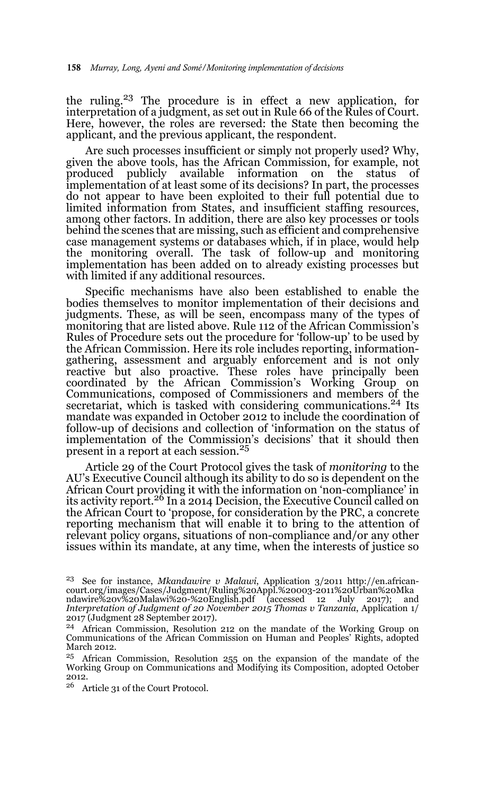the ruling.23 The procedure is in effect a new application, for interpretation of a judgment, as set out in Rule 66 of the Rules of Court. Here, however, the roles are reversed: the State then becoming the applicant, and the previous applicant, the respondent.

Are such processes insufficient or simply not properly used? Why, given the above tools, has the African Commission, for example, not produced publicly available information on the status of implementation of at least some of its decisions? In part, the processes do not appear to have been exploited to their full potential due to limited information from States, and insufficient staffing resources, among other factors. In addition, there are also key processes or tools behind the scenes that are missing, such as efficient and comprehensive case management systems or databases which, if in place, would help the monitoring overall. The task of follow-up and monitoring implementation has been added on to already existing processes but with limited if any additional resources.

Specific mechanisms have also been established to enable the bodies themselves to monitor implementation of their decisions and judgments. These, as will be seen, encompass many of the types of monitoring that are listed above. Rule 112 of the African Commission's Rules of Procedure sets out the procedure for 'follow-up' to be used by the African Commission. Here its role includes reporting, informationgathering, assessment and arguably enforcement and is not only reactive but also proactive. These roles have principally been coordinated by the African Commission's Working Group on Communications, composed of Commissioners and members of the secretariat, which is tasked with considering communications.<sup>24</sup> Its mandate was expanded in October 2012 to include the coordination of follow-up of decisions and collection of 'information on the status of implementation of the Commission's decisions' that it should then present in a report at each session.<sup>25</sup>

Article 29 of the Court Protocol gives the task of *monitoring* to the AU's Executive Council although its ability to do so is dependent on the African Court providing it with the information on 'non-compliance' in its activity report.<sup>26</sup> In a 2014 Decision, the Executive Council called on the African Court to 'propose, for consideration by the PRC, a concrete reporting mechanism that will enable it to bring to the attention of relevant policy organs, situations of non-compliance and/or any other issues within its mandate, at any time, when the interests of justice so

<sup>23</sup> See for instance, *Mkandawire v Malawi*, Application 3/2011 http://en.africancourt.org/images/Cases/Judgment/Ruling%20Appl.%20003-2011%20Urban%20Mka ndawire%20v%20Malawi%20-%20English.pdf (accessed 12 July 2017); and *Interpretation of Judgment of 20 November 2015 Thomas v Tanzania*, Application 1/ 2017 (Judgment 28 September 2017).

<sup>24</sup> African Commission, Resolution 212 on the mandate of the Working Group on Communications of the African Commission on Human and Peoples' Rights, adopted March 2012.

<sup>&</sup>lt;sup>25</sup> African Commission, Resolution 255 on the expansion of the mandate of the Working Group on Communications and Modifying its Composition, adopted October 2012.

<sup>26</sup> Article 31 of the Court Protocol.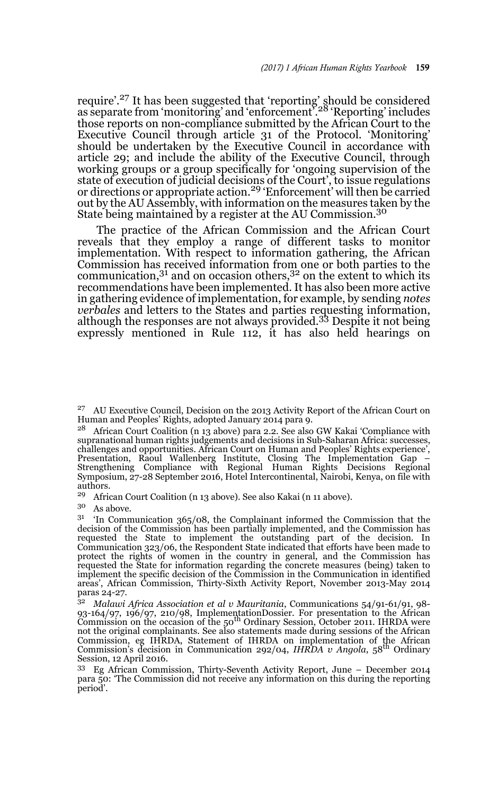require'.<sup>27</sup> It has been suggested that 'reporting' should be considered as separate from 'monitoring' and 'enforcement'.28 'Reporting' includes those reports on non-compliance submitted by the African Court to the Executive Council through article 31 of the Protocol. 'Monitoring' should be undertaken by the Executive Council in accordance with article 29; and include the ability of the Executive Council, through working groups or a group specifically for 'ongoing supervision of the state of execution of judicial decisions of the Court', to issue regulations or directions or appropriate action.29 'Enforcement' will then be carried out by the AU Assembly, with information on the measures taken by the State being maintained by a register at the AU Commission.<sup>30</sup>

The practice of the African Commission and the African Court reveals that they employ a range of different tasks to monitor implementation. With respect to information gathering, the African Commission has received information from one or both parties to the communication, $3<sup>1</sup>$  and on occasion others, $3<sup>2</sup>$  on the extent to which its recommendations have been implemented. It has also been more active in gathering evidence of implementation, for example, by sending *notes verbales* and letters to the States and parties requesting information, although the responses are not always provided.33 Despite it not being expressly mentioned in Rule 112, it has also held hearings on

<sup>28</sup> African Court Coalition (n 13 above) para 2.2. See also GW Kakai 'Compliance with supranational human rights judgements and decisions in Sub-Saharan Africa: successes, challenges and opportunities. African Court on Human and Peoples' Rights experience', Presentation, Raoul Wallenberg Institute, Closing The Implementation Gap – Strengthening Compliance with Regional Human Rights Decisions Regional Symposium, 27-28 September 2016, Hotel Intercontinental, Nairobi, Kenya, on file with authors.

<sup>29</sup> African Court Coalition (n 13 above). See also Kakai (n 11 above).<br> $30A_8$  above

As above.

 $31$  'In Communication 365/08, the Complainant informed the Commission that the decision of the Commission has been partially implemented, and the Commission has requested the State to implement the outstanding part of the decision. In Communication 323/06, the Respondent State indicated that efforts have been made to protect the rights of women in the country in general, and the Commission has requested the State for information regarding the concrete measures (being) taken to implement the specific decision of the Commission in the Communication in identified areas', African Commission, Thirty-Sixth Activity Report, November 2013-May 2014 paras 24-27.

<sup>32</sup> *Malawi Africa Association et al v Mauritania*, Communications 54/91-61/91, 98- 93-164/97, 196/97, 210/98, ImplementationDossier. For presentation to the African<br>Commission on the occasion of the 50<sup>th</sup> Ordinary Session, October 2011. IHRDA were not the original complainants. See also statements made during sessions of the African Commission, eg IHRDA, Statement of IHRDA on implementation of the African Commission's decision in Communication 292/04, *IHRDA v Angola*, 58th Ordinary Session, 12 April 2016.

<sup>33</sup> Eg African Commission, Thirty-Seventh Activity Report, June – December 2014 para 50: 'The Commission did not receive any information on this during the reporting period'.

<sup>&</sup>lt;sup>27</sup> AU Executive Council, Decision on the 2013 Activity Report of the African Court on Human and Peoples' Rights, adopted January 2014 para 9.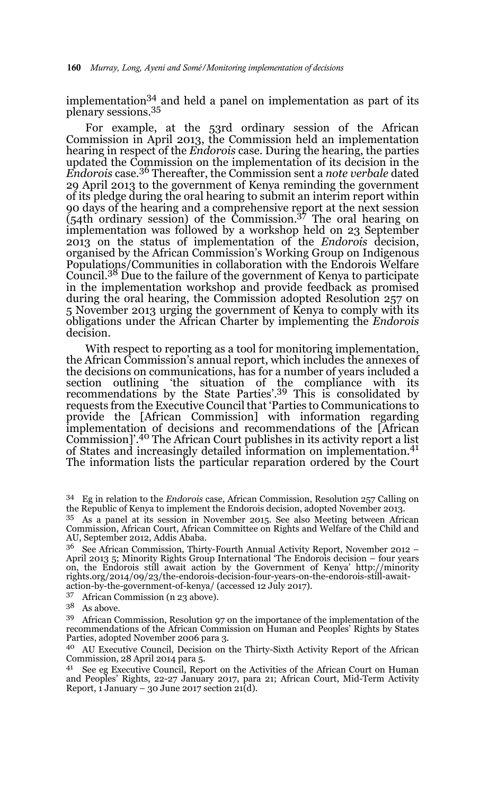implementation34 and held a panel on implementation as part of its plenary sessions.35

For example, at the 53rd ordinary session of the African Commission in April 2013, the Commission held an implementation hearing in respect of the *Endorois* case. During the hearing, the parties updated the Commission on the implementation of its decision in the *Endorois* case.36 Thereafter, the Commission sent a *note verbale* dated 29 April 2013 to the government of Kenya reminding the government of its pledge during the oral hearing to submit an interim report within 90 days of the hearing and a comprehensive report at the next session (54th ordinary session) of the Commission.37 The oral hearing on implementation was followed by a workshop held on 23 September 2013 on the status of implementation of the *Endorois* decision, organised by the African Commission's Working Group on Indigenous Populations/Communities in collaboration with the Endorois Welfare Council.<sup>38</sup> Due to the failure of the government of Kenya to participate in the implementation workshop and provide feedback as promised during the oral hearing, the Commission adopted Resolution 257 on 5 November 2013 urging the government of Kenya to comply with its obligations under the African Charter by implementing the *Endorois* decision.

With respect to reporting as a tool for monitoring implementation, the African Commission's annual report, which includes the annexes of the decisions on communications, has for a number of years included a section outlining 'the situation of the compliance with its recommendations by the State Parties'.39 This is consolidated by requests from the Executive Council that 'Parties to Communications to provide the [African Commission] with information regarding implementation of decisions and recommendations of the [African Commission]'.40 The African Court publishes in its activity report a list of States and increasingly detailed information on implementation.41 The information lists the particular reparation ordered by the Court

<sup>37</sup> African Commission (n 23 above).

 $^{38}\;$  As above.

<sup>39</sup> African Commission, Resolution 97 on the importance of the implementation of the recommendations of the African Commission on Human and Peoples' Rights by States Parties, adopted November 2006 para 3.

<sup>40</sup> AU Executive Council, Decision on the Thirty-Sixth Activity Report of the African Commission, 28 April 2014 para 5.

See eg Executive Council, Report on the Activities of the African Court on Human and Peoples' Rights, 22-27 January 2017, para 21; African Court, Mid-Term Activity Report, 1 January – 30 June 2017 section 21(d).

<sup>34</sup> Eg in relation to the *Endorois* case, African Commission, Resolution 257 Calling on the Republic of Kenya to implement the Endorois decision, adopted November 2013.

<sup>35</sup> As a panel at its session in November 2015. See also Meeting between African Commission, African Court, African Committee on Rights and Welfare of the Child and AU, September 2012, Addis Ababa.

<sup>&</sup>lt;sup>36</sup> See African Commission, Thirty-Fourth Annual Activity Report, November 2012 – April 2013 5; Minority Rights Group International 'The Endorois decision – four years on, the Endorois still await action by the Government of Kenya' http://minority rights.org/2014/09/23/the-endorois-decision-four-years-on-the-endorois-still-awaitaction-by-the-government-of-kenya/ (accessed 12 July 2017).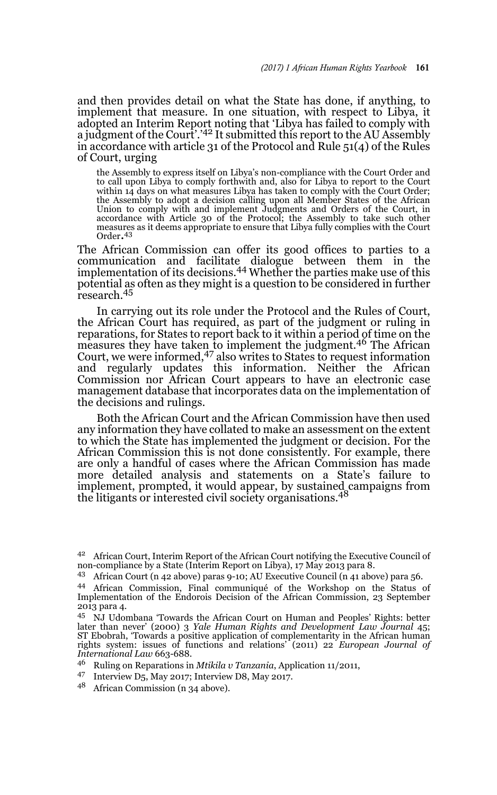and then provides detail on what the State has done, if anything, to implement that measure. In one situation, with respect to Libya, it adopted an Interim Report noting that 'Libya has failed to comply with a judgment of the Court'.<sup>'42</sup> It submitted this report to the AU Assembly in accordance with article 31 of the Protocol and Rule 51(4) of the Rules of Court, urging

the Assembly to express itself on Libya's non-compliance with the Court Order and to call upon Libya to comply forthwith and, also for Libya to report to the Court within 14 days on what measures Libya has taken to comply with the Court Order; the Assembly to adopt a decision calling upon all Member States of the African Union to comply with and implement Judgments and Orders of the Court, in accordance with Article 30 of the Protocol; the Assembly to take such other measures as it deems appropriate to ensure that Libya fully complies with the Court Order.43

The African Commission can offer its good offices to parties to a communication and facilitate dialogue between them in the implementation of its decisions.44 Whether the parties make use of this potential as often as they might is a question to be considered in further research.<sup>45</sup>

In carrying out its role under the Protocol and the Rules of Court, the African Court has required, as part of the judgment or ruling in reparations, for States to report back to it within a period of time on the measures they have taken to implement the judgment.46 The African Court, we were informed,47 also writes to States to request information and regularly updates this information. Neither the African Commission nor African Court appears to have an electronic case management database that incorporates data on the implementation of the decisions and rulings.

Both the African Court and the African Commission have then used any information they have collated to make an assessment on the extent to which the State has implemented the judgment or decision. For the African Commission this is not done consistently. For example, there are only a handful of cases where the African Commission has made more detailed analysis and statements on a State's failure to implement, prompted, it would appear, by sustained campaigns from the litigants or interested civil society organisations.<sup>48</sup>

<sup>48</sup> African Commission (n 34 above).

<sup>42</sup> African Court, Interim Report of the African Court notifying the Executive Council of non-compliance by a State (Interim Report on Libya), 17 May 2013 para 8.

<sup>43</sup> African Court (n 42 above) paras 9-10; AU Executive Council (n 41 above) para 56.

<sup>44</sup> African Commission, Final communiqué of the Workshop on the Status of Implementation of the Endorois Decision of the African Commission, 23 September 2013 para 4.

<sup>45</sup> NJ Udombana 'Towards the African Court on Human and Peoples' Rights: better later than never' (2000) 3 *Yale Human Rights and Development Law Journal* 45; ST Ebobrah, 'Towards a positive application of complementarity in the African human rights system: issues of functions and relations' (2011) 22 *European Journal of International Law* 663-688.

<sup>46</sup> Ruling on Reparations in *Mtikila v Tanzania*, Application 11/2011,

<sup>47</sup> Interview D5, May 2017; Interview D8, May 2017.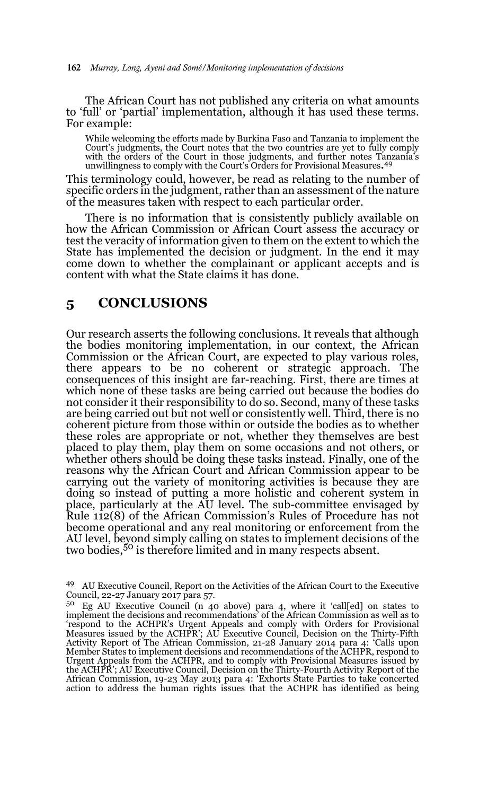The African Court has not published any criteria on what amounts to 'full' or 'partial' implementation, although it has used these terms. For example:

While welcoming the efforts made by Burkina Faso and Tanzania to implement the Court's judgments, the Court notes that the two countries are yet to fully comply<br>with the orders of the Court in those judgments, and further notes Tanzania's<br>unwillingness to comply with the Court's Orders for Provisiona

This terminology could, however, be read as relating to the number of specific orders in the judgment, rather than an assessment of the nature of the measures taken with respect to each particular order.

There is no information that is consistently publicly available on how the African Commission or African Court assess the accuracy or test the veracity of information given to them on the extent to which the State has implemented the decision or judgment. In the end it may come down to whether the complainant or applicant accepts and is content with what the State claims it has done.

#### **5 CONCLUSIONS**

Our research asserts the following conclusions. It reveals that although the bodies monitoring implementation, in our context, the African Commission or the African Court, are expected to play various roles, there appears to be no coherent or strategic approach. The consequences of this insight are far-reaching. First, there are times at which none of these tasks are being carried out because the bodies do not consider it their responsibility to do so. Second, many of these tasks are being carried out but not well or consistently well. Third, there is no coherent picture from those within or outside the bodies as to whether these roles are appropriate or not, whether they themselves are best placed to play them, play them on some occasions and not others, or whether others should be doing these tasks instead. Finally, one of the reasons why the African Court and African Commission appear to be carrying out the variety of monitoring activities is because they are doing so instead of putting a more holistic and coherent system in place, particularly at the AU level. The sub-committee envisaged by Rule 112(8) of the African Commission's Rules of Procedure has not become operational and any real monitoring or enforcement from the AU level, beyond simply calling on states to implement decisions of the two bodies,<sup>50</sup> is therefore limited and in many respects absent.

<sup>49</sup> AU Executive Council, Report on the Activities of the African Court to the Executive Council, 22-27 January 2017 para 57.

<sup>50</sup> Eg AU Executive Council (n 40 above) para 4, where it 'call[ed] on states to implement the decisions and recommendations' of the African Commission as well as to 'respond to the ACHPR's Urgent Appeals and comply with Orders for Provisional Measures issued by the ACHPR'; AU Executive Council, Decision on the Thirty-Fifth Activity Report of The African Commission, 21-28 January 2014 para 4: 'Calls upon Member States to implement decisions and recommendations of the ACHPR, respond to Urgent Appeals from the ACHPR, and to comply with Provisional Measures issued by the ACHPR'; AU Executive Council, Decision on the Thirty-Fourth Activity Report of the African Commission, 19-23 May 2013 para 4: 'Exhorts State Parties to take concerted action to address the human rights issues that the ACHPR has identified as being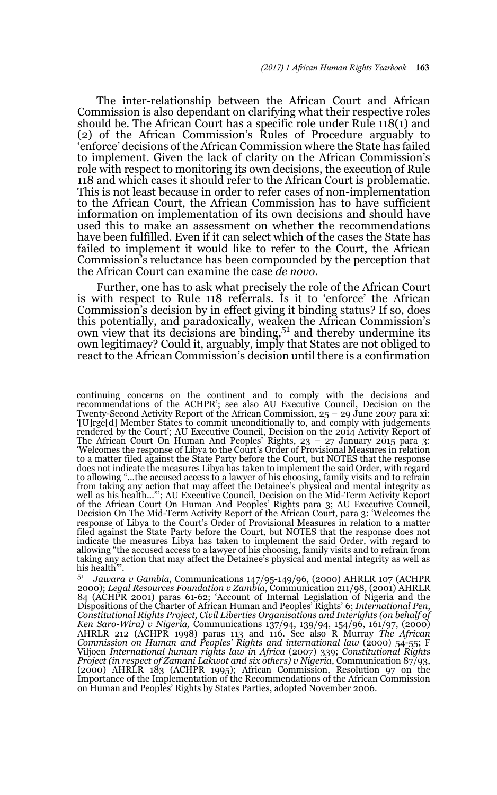The inter-relationship between the African Court and African Commission is also dependant on clarifying what their respective roles should be. The African Court has a specific role under Rule 118(1) and (2) of the African Commission's Rules of Procedure arguably to 'enforce' decisions of the African Commission where the State has failed to implement. Given the lack of clarity on the African Commission's role with respect to monitoring its own decisions, the execution of Rule 118 and which cases it should refer to the African Court is problematic. This is not least because in order to refer cases of non-implementation to the African Court, the African Commission has to have sufficient information on implementation of its own decisions and should have used this to make an assessment on whether the recommendations have been fulfilled. Even if it can select which of the cases the State has failed to implement it would like to refer to the Court, the African Commission's reluctance has been compounded by the perception that the African Court can examine the case *de novo*.

Further, one has to ask what precisely the role of the African Court is with respect to Rule 118 referrals. Is it to 'enforce' the African Commission's decision by in effect giving it binding status? If so, does this potentially, and paradoxically, weaken the African Commission's  $\frac{1}{2}$  own view that its decisions are binding,  $5<sup>1</sup>$  and thereby undermine its own legitimacy? Could it, arguably, imply that States are not obliged to react to the African Commission's decision until there is a confirmation

continuing concerns on the continent and to comply with the decisions and recommendations of the ACHPR'; see also AU Executive Council, Decision on the Twenty-Second Activity Report of the African Commission,  $25 - 29$  June 2007 para xi: '[U]rge[d] Member States to commit unconditionally to, and comply with judgements rendered by the Court'; AU Executive Council, Decision on the 2014 Activity Report of The African Court On Human And Peoples' Rights, 23 – 27 January 2015 para 3: 'Welcomes the response of Libya to the Court's Order of Provisional Measures in relation to a matter filed against the State Party before the Court, but NOTES that the response does not indicate the measures Libya has taken to implement the said Order, with regard to allowing "...the accused access to a lawyer of his choosing, family visits and to refrain from taking any action that may affect the Detainee's physical and mental integrity as well as his health..."'; AU Executive Council, Decision on the Mid-Term Activity Report of the African Court On Human And Peoples' Rights para 3; AU Executive Council, Decision On The Mid-Term Activity Report of the African Court, para 3: 'Welcomes the response of Libya to the Court's Order of Provisional Measures in relation to a matter filed against the State Party before the Court, but NOTES that the response does not indicate the measures Libya has taken to implement the said Order, with regard to allowing "the accused access to a lawyer of his choosing, family visits and to refrain from taking any action that may affect the Detainee's physical and mental integrity as well as his health"

<sup>51</sup> *Jawara v Gambia*, Communications 147/95-149/96, (2000) AHRLR 107 (ACHPR 2000); *Legal Resources Foundation v Zambia*, Communication 211/98, (2001) AHRLR 84 (ACHPR 2001) paras 61-62; 'Account of Internal Legislation of Nigeria and the Dispositions of the Charter of African Human and Peoples' Rights' 6; *International Pen, Constitutional Rights Project, Civil Liberties Organisations and Interights (on behalf of Ken Saro-Wira) v Nigeria,* Communications 137/94, 139/94, 154/96, 161/97, (2000) AHRLR 212 (ACHPR 1998) paras 113 and 116. See also R Murray *The African Commission on Human and Peoples' Rights and international law* (2000) 54-55; F Viljoen *International human rights law in Africa* (2007) 339; *Constitutional Rights Project (in respect of Zamani Lakwot and six others) v Nigeria*, Communication 87/93, (2000) AHRLR 183 (ACHPR 1995); African Commission, Resolution 97 on the Importance of the Implementation of the Recommendations of the African Commission on Human and Peoples' Rights by States Parties, adopted November 2006.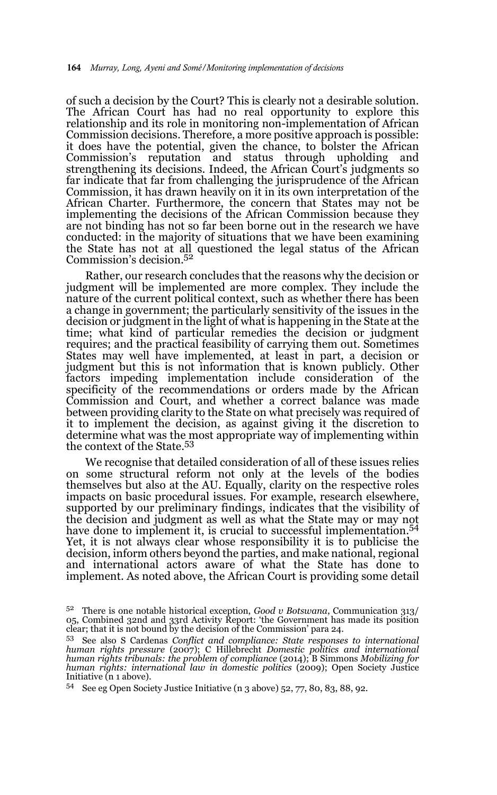of such a decision by the Court? This is clearly not a desirable solution. The African Court has had no real opportunity to explore this relationship and its role in monitoring non-implementation of African Commission decisions. Therefore, a more positive approach is possible: it does have the potential, given the chance, to bolster the African Commission's reputation and status through upholding and strengthening its decisions. Indeed, the African Court's judgments so far indicate that far from challenging the jurisprudence of the African Commission, it has drawn heavily on it in its own interpretation of the African Charter. Furthermore, the concern that States may not be implementing the decisions of the African Commission because they are not binding has not so far been borne out in the research we have conducted: in the majority of situations that we have been examining the State has not at all questioned the legal status of the African Commission's decision.52

Rather, our research concludes that the reasons why the decision or judgment will be implemented are more complex. They include the nature of the current political context, such as whether there has been a change in government; the particularly sensitivity of the issues in the decision or judgment in the light of what is happening in the State at the time; what kind of particular remedies the decision or judgment requires; and the practical feasibility of carrying them out. Sometimes States may well have implemented, at least in part, a decision or judgment but this is not information that is known publicly. Other factors impeding implementation include consideration of the specificity of the recommendations or orders made by the African Commission and Court, and whether a correct balance was made between providing clarity to the State on what precisely was required of it to implement the decision, as against giving it the discretion to determine what was the most appropriate way of implementing within the context of the State.<sup>53</sup>

We recognise that detailed consideration of all of these issues relies on some structural reform not only at the levels of the bodies themselves but also at the AU. Equally, clarity on the respective roles impacts on basic procedural issues. For example, research elsewhere, supported by our preliminary findings, indicates that the visibility of the decision and judgment as well as what the State may or may not have done to implement it, is crucial to successful implementation.<sup>54</sup> Yet, it is not always clear whose responsibility it is to publicise the decision, inform others beyond the parties, and make national, regional and international actors aware of what the State has done to implement. As noted above, the African Court is providing some detail

<sup>52</sup> There is one notable historical exception, *Good v Botswana*, Communication 313/ 05, Combined 32nd and 33rd Activity Report: 'the Government has made its position clear; that it is not bound by the decision of the Commission' para 24.

<sup>53</sup> See also S Cardenas *Conflict and compliance: State responses to international human rights pressure* (2007); C Hillebrecht *Domestic politics and international human rights tribunals: the problem of compliance* (2014); B Simmons *Mobilizing for human rights: international law in domestic politics* (2009); Open Society Justice Initiative (n 1 above).

<sup>54</sup> See eg Open Society Justice Initiative (n 3 above) 52, 77, 80, 83, 88, 92.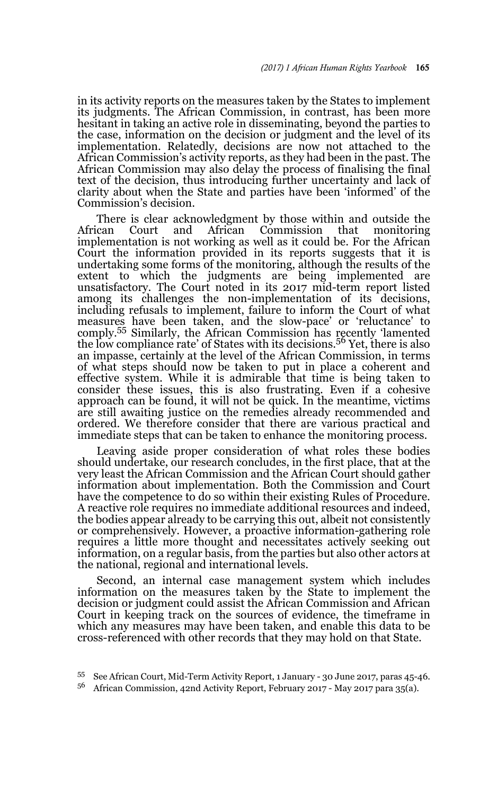in its activity reports on the measures taken by the States to implement its judgments. The African Commission, in contrast, has been more hesitant in taking an active role in disseminating, beyond the parties to the case, information on the decision or judgment and the level of its implementation. Relatedly, decisions are now not attached to the African Commission's activity reports, as they had been in the past. The African Commission may also delay the process of finalising the final text of the decision, thus introducing further uncertainty and lack of clarity about when the State and parties have been 'informed' of the Commission's decision.

There is clear acknowledgment by those within and outside the African Court and African Commission that monitoring implementation is not working as well as it could be. For the African Court the information provided in its reports suggests that it is undertaking some forms of the monitoring, although the results of the extent to which the judgments are being implemented are unsatisfactory. The Court noted in its 2017 mid-term report listed among its challenges the non-implementation of its decisions, including refusals to implement, failure to inform the Court of what measures have been taken, and the slow-pace' or 'reluctance' to comply.55 Similarly, the African Commission has recently 'lamented the low compliance rate' of States with its decisions.<sup>56</sup> Yet, there is also an impasse, certainly at the level of the African Commission, in terms of what steps should now be taken to put in place a coherent and effective system. While it is admirable that time is being taken to consider these issues, this is also frustrating. Even if a cohesive approach can be found, it will not be quick. In the meantime, victims are still awaiting justice on the remedies already recommended and ordered. We therefore consider that there are various practical and immediate steps that can be taken to enhance the monitoring process.

Leaving aside proper consideration of what roles these bodies should undertake, our research concludes, in the first place, that at the very least the African Commission and the African Court should gather information about implementation. Both the Commission and Court have the competence to do so within their existing Rules of Procedure. A reactive role requires no immediate additional resources and indeed, the bodies appear already to be carrying this out, albeit not consistently or comprehensively. However, a proactive information-gathering role requires a little more thought and necessitates actively seeking out information, on a regular basis, from the parties but also other actors at the national, regional and international levels.

Second, an internal case management system which includes information on the measures taken by the State to implement the decision or judgment could assist the African Commission and African Court in keeping track on the sources of evidence, the timeframe in which any measures may have been taken, and enable this data to be cross-referenced with other records that they may hold on that State.

<sup>55</sup> See African Court, Mid-Term Activity Report, 1 January - 30 June 2017, paras 45-46.

<sup>56</sup> African Commission, 42nd Activity Report, February 2017 - May 2017 para 35(a).